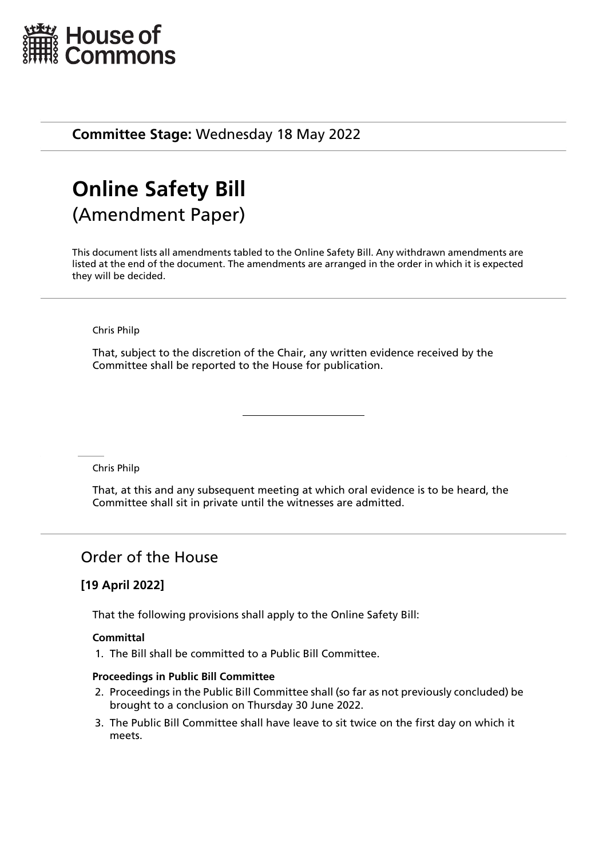

**Committee Stage:** Wednesday 18 May 2022

# **Online Safety Bill** (Amendment Paper)

This document lists all amendments tabled to the Online Safety Bill. Any withdrawn amendments are listed at the end of the document. The amendments are arranged in the order in which it is expected they will be decided.

#### Chris Philp

That, subject to the discretion of the Chair, any written evidence received by the Committee shall be reported to the House for publication.

Chris Philp

That, at this and any subsequent meeting at which oral evidence is to be heard, the Committee shall sit in private until the witnesses are admitted.

# Order of the House

## **[19 April 2022]**

That the following provisions shall apply to the Online Safety Bill:

#### **Committal**

1. The Bill shall be committed to a Public Bill Committee.

#### **Proceedings in Public Bill Committee**

- 2. Proceedings in the Public Bill Committee shall (so far as not previously concluded) be brought to a conclusion on Thursday 30 June 2022.
- 3. The Public Bill Committee shall have leave to sit twice on the first day on which it meets.